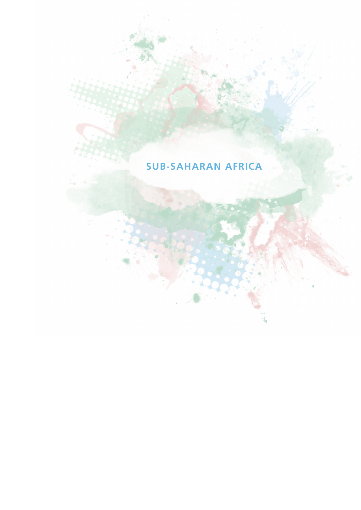# **SUB-SAHARAN AFRICA**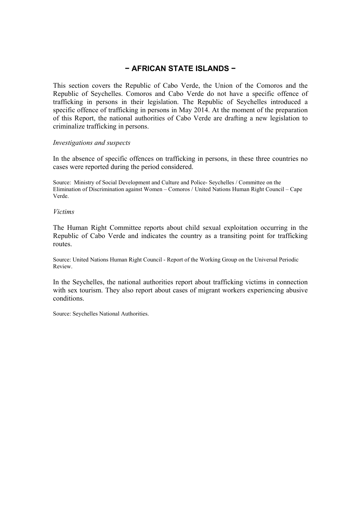# **− AFRICAN STATE ISLANDS −**

This section covers the Republic of Cabo Verde, the Union of the Comoros and the Republic of Seychelles. Comoros and Cabo Verde do not have a specific offence of trafficking in persons in their legislation. The Republic of Seychelles introduced a specific offence of trafficking in persons in May 2014. At the moment of the preparation of this Report, the national authorities of Cabo Verde are drafting a new legislation to criminalize trafficking in persons.

#### *Investigations and suspects*

In the absence of specific offences on trafficking in persons, in these three countries no cases were reported during the period considered.

Source: Ministry of Social Development and Culture and Police- Seychelles / Committee on the Elimination of Discrimination against Women – Comoros / United Nations Human Right Council – Cape Verde.

#### *Victims*

The Human Right Committee reports about child sexual exploitation occurring in the Republic of Cabo Verde and indicates the country as a transiting point for trafficking routes.

Source: United Nations Human Right Council - Report of the Working Group on the Universal Periodic Review.

In the Seychelles, the national authorities report about trafficking victims in connection with sex tourism. They also report about cases of migrant workers experiencing abusive conditions.

Source: Seychelles National Authorities.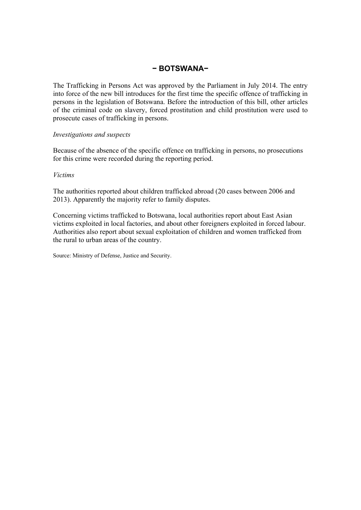# **− BOTSWANA−**

The Trafficking in Persons Act was approved by the Parliament in July 2014. The entry into force of the new bill introduces for the first time the specific offence of trafficking in persons in the legislation of Botswana. Before the introduction of this bill, other articles of the criminal code on slavery, forced prostitution and child prostitution were used to prosecute cases of trafficking in persons.

## *Investigations and suspects*

Because of the absence of the specific offence on trafficking in persons, no prosecutions for this crime were recorded during the reporting period.

## *Victims*

The authorities reported about children trafficked abroad (20 cases between 2006 and 2013). Apparently the majority refer to family disputes.

Concerning victims trafficked to Botswana, local authorities report about East Asian victims exploited in local factories, and about other foreigners exploited in forced labour. Authorities also report about sexual exploitation of children and women trafficked from the rural to urban areas of the country.

Source: Ministry of Defense, Justice and Security.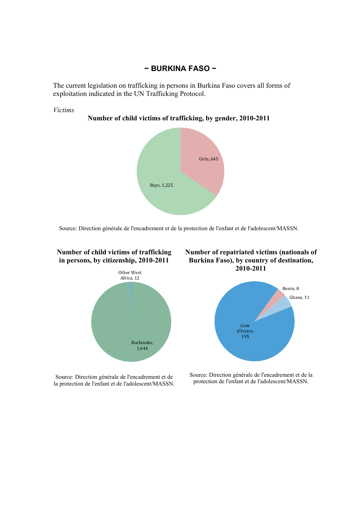# **− BURKINA FASO −**

The current legislation on trafficking in persons in Burkina Faso covers all forms of exploitation indicated in the UN Trafficking Protocol.



**Number of child victims of trafficking, by gender, 2010-2011** 



Source: Direction générale de l'encadrement et de la protection de l'enfant et de l'adolescent/MASSN.



Source: Direction générale de l'encadrement et de la protection de l'enfant et de l'adolescent/MASSN.

**Number of repatriated victims (nationals of Burkina Faso), by country of destination, 2010-2011** 



Source: Direction générale de l'encadrement et de la protection de l'enfant et de l'adolescent/MASSN.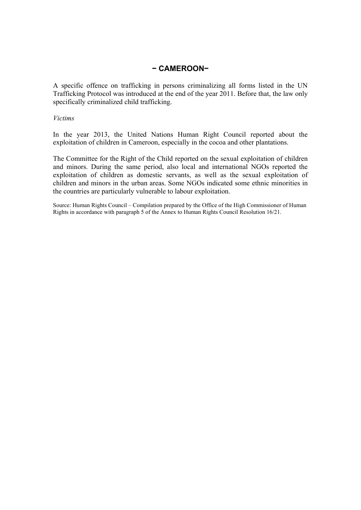# **− CAMEROON−**

A specific offence on trafficking in persons criminalizing all forms listed in the UN Trafficking Protocol was introduced at the end of the year 2011. Before that, the law only specifically criminalized child trafficking.

## *Victims*

In the year 2013, the United Nations Human Right Council reported about the exploitation of children in Cameroon, especially in the cocoa and other plantations.

The Committee for the Right of the Child reported on the sexual exploitation of children and minors. During the same period, also local and international NGOs reported the exploitation of children as domestic servants, as well as the sexual exploitation of children and minors in the urban areas. Some NGOs indicated some ethnic minorities in the countries are particularly vulnerable to labour exploitation.

Source: Human Rights Council – Compilation prepared by the Office of the High Commissioner of Human Rights in accordance with paragraph 5 of the Annex to Human Rights Council Resolution 16/21.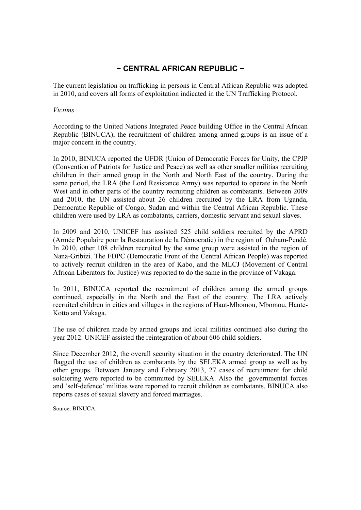# **− CENTRAL AFRICAN REPUBLIC −**

The current legislation on trafficking in persons in Central African Republic was adopted in 2010, and covers all forms of exploitation indicated in the UN Trafficking Protocol.

#### *Victims*

According to the United Nations Integrated Peace building Office in the Central African Republic (BINUCA), the recruitment of children among armed groups is an issue of a major concern in the country.

In 2010, BINUCA reported the UFDR (Union of Democratic Forces for Unity, the CPJP (Convention of Patriots for Justice and Peace) as well as other smaller militias recruiting children in their armed group in the North and North East of the country. During the same period, the LRA (the Lord Resistance Army) was reported to operate in the North West and in other parts of the country recruiting children as combatants. Between 2009 and 2010, the UN assisted about 26 children recruited by the LRA from Uganda, Democratic Republic of Congo, Sudan and within the Central African Republic. These children were used by LRA as combatants, carriers, domestic servant and sexual slaves.

In 2009 and 2010, UNICEF has assisted 525 child soldiers recruited by the APRD (Armée Populaire pour la Restauration de la Démocratie) in the region of Ouham-Pendé. In 2010, other 108 children recruited by the same group were assisted in the region of Nana-Gribizi. The FDPC (Democratic Front of the Central African People) was reported to actively recruit children in the area of Kabo, and the MLCJ (Movement of Central African Liberators for Justice) was reported to do the same in the province of Vakaga.

In 2011, BINUCA reported the recruitment of children among the armed groups continued, especially in the North and the East of the country. The LRA actively recruited children in cities and villages in the regions of Haut-Mbomou, Mbomou, Haute-Kotto and Vakaga.

The use of children made by armed groups and local militias continued also during the year 2012. UNICEF assisted the reintegration of about 606 child soldiers.

Since December 2012, the overall security situation in the country deteriorated. The UN flagged the use of children as combatants by the SELEKA armed group as well as by other groups. Between January and February 2013, 27 cases of recruitment for child soldiering were reported to be committed by SELEKA. Also the governmental forces and 'self-defence' militias were reported to recruit children as combatants. BINUCA also reports cases of sexual slavery and forced marriages.

Source: BINUCA.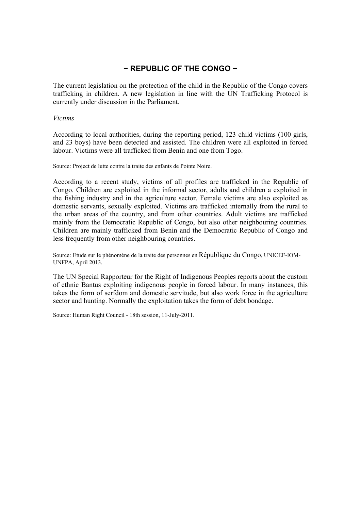# **− REPUBLIC OF THE CONGO −**

The current legislation on the protection of the child in the Republic of the Congo covers trafficking in children. A new legislation in line with the UN Trafficking Protocol is currently under discussion in the Parliament.

## *Victims*

According to local authorities, during the reporting period, 123 child victims (100 girls, and 23 boys) have been detected and assisted. The children were all exploited in forced labour. Victims were all trafficked from Benin and one from Togo.

Source: Project de lutte contre la traite des enfants de Pointe Noire.

According to a recent study, victims of all profiles are trafficked in the Republic of Congo. Children are exploited in the informal sector, adults and children a exploited in the fishing industry and in the agriculture sector. Female victims are also exploited as domestic servants, sexually exploited. Victims are trafficked internally from the rural to the urban areas of the country, and from other countries. Adult victims are trafficked mainly from the Democratic Republic of Congo, but also other neighbouring countries. Children are mainly trafficked from Benin and the Democratic Republic of Congo and less frequently from other neighbouring countries.

Source: Etude sur le phénomène de la traite des personnes en République du Congo, UNICEF-IOM-UNFPA, April 2013.

The UN Special Rapporteur for the Right of Indigenous Peoples reports about the custom of ethnic Bantus exploiting indigenous people in forced labour. In many instances, this takes the form of serfdom and domestic servitude, but also work force in the agriculture sector and hunting. Normally the exploitation takes the form of debt bondage.

Source: Human Right Council - 18th session, 11-July-2011.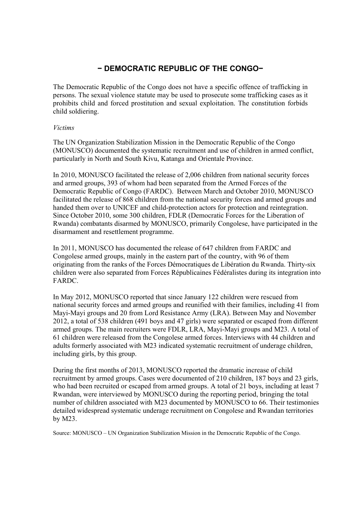# **− DEMOCRATIC REPUBLIC OF THE CONGO−**

The Democratic Republic of the Congo does not have a specific offence of trafficking in persons. The sexual violence statute may be used to prosecute some trafficking cases as it prohibits child and forced prostitution and sexual exploitation. The constitution forbids child soldiering.

## *Victims*

The UN Organization Stabilization Mission in the Democratic Republic of the Congo (MONUSCO) documented the systematic recruitment and use of children in armed conflict, particularly in North and South Kivu, Katanga and Orientale Province.

In 2010, MONUSCO facilitated the release of 2,006 children from national security forces and armed groups, 393 of whom had been separated from the Armed Forces of the Democratic Republic of Congo (FARDC). Between March and October 2010, MONUSCO facilitated the release of 868 children from the national security forces and armed groups and handed them over to UNICEF and child-protection actors for protection and reintegration. Since October 2010, some 300 children, FDLR (Democratic Forces for the Liberation of Rwanda) combatants disarmed by MONUSCO, primarily Congolese, have participated in the disarmament and resettlement programme.

In 2011, MONUSCO has documented the release of 647 children from FARDC and Congolese armed groups, mainly in the eastern part of the country, with 96 of them originating from the ranks of the Forces Démocratiques de Libération du Rwanda. Thirty-six children were also separated from Forces Républicaines Fédéralistes during its integration into FARDC.

In May 2012, MONUSCO reported that since January 122 children were rescued from national security forces and armed groups and reunified with their families, including 41 from Mayi-Mayi groups and 20 from Lord Resistance Army (LRA). Between May and November 2012, a total of 538 children (491 boys and 47 girls) were separated or escaped from different armed groups. The main recruiters were FDLR, LRA, Mayi-Mayi groups and M23. A total of 61 children were released from the Congolese armed forces. Interviews with 44 children and adults formerly associated with M23 indicated systematic recruitment of underage children, including girls, by this group.

During the first months of 2013, MONUSCO reported the dramatic increase of child recruitment by armed groups. Cases were documented of 210 children, 187 boys and 23 girls, who had been recruited or escaped from armed groups. A total of 21 boys, including at least 7 Rwandan, were interviewed by MONUSCO during the reporting period, bringing the total number of children associated with M23 documented by MONUSCO to 66. Their testimonies detailed widespread systematic underage recruitment on Congolese and Rwandan territories by M23.

Source: MONUSCO – UN Organization Stabilization Mission in the Democratic Republic of the Congo.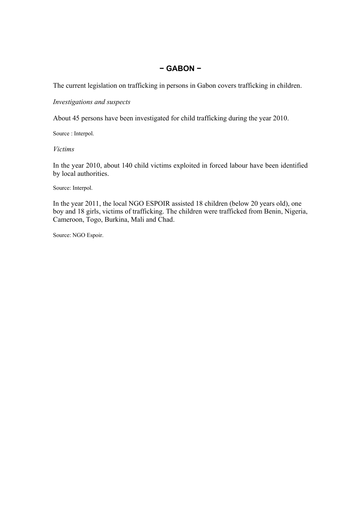# **− GABON −**

The current legislation on trafficking in persons in Gabon covers trafficking in children.

## *Investigations and suspects*

About 45 persons have been investigated for child trafficking during the year 2010.

Source : Interpol.

## *Victims*

In the year 2010, about 140 child victims exploited in forced labour have been identified by local authorities.

Source: Interpol.

In the year 2011, the local NGO ESPOIR assisted 18 children (below 20 years old), one boy and 18 girls, victims of trafficking. The children were trafficked from Benin, Nigeria, Cameroon, Togo, Burkina, Mali and Chad.

Source: NGO Espoir.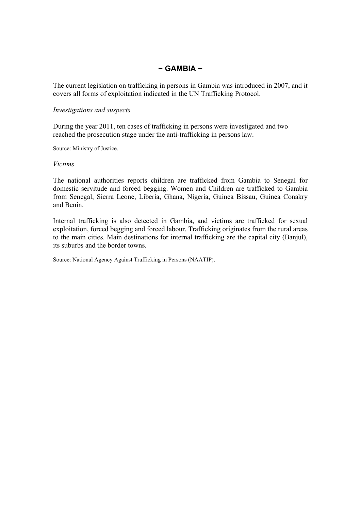# **− GAMBIA −**

The current legislation on trafficking in persons in Gambia was introduced in 2007, and it covers all forms of exploitation indicated in the UN Trafficking Protocol.

#### *Investigations and suspects*

During the year 2011, ten cases of trafficking in persons were investigated and two reached the prosecution stage under the anti-trafficking in persons law.

Source: Ministry of Justice.

## *Victims*

The national authorities reports children are trafficked from Gambia to Senegal for domestic servitude and forced begging. Women and Children are trafficked to Gambia from Senegal, Sierra Leone, Liberia, Ghana, Nigeria, Guinea Bissau, Guinea Conakry and Benin.

Internal trafficking is also detected in Gambia, and victims are trafficked for sexual exploitation, forced begging and forced labour. Trafficking originates from the rural areas to the main cities. Main destinations for internal trafficking are the capital city (Banjul), its suburbs and the border towns.

Source: National Agency Against Trafficking in Persons (NAATIP).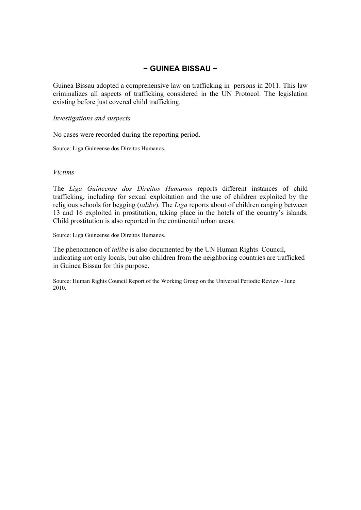# **− GUINEA BISSAU −**

Guinea Bissau adopted a comprehensive law on trafficking in persons in 2011. This law criminalizes all aspects of trafficking considered in the UN Protocol. The legislation existing before just covered child trafficking.

#### *Investigations and suspects*

No cases were recorded during the reporting period.

Source: Liga Guineense dos Direitos Humanos.

#### *Victims*

The *Liga Guineense dos Direitos Humanos* reports different instances of child trafficking, including for sexual exploitation and the use of children exploited by the religious schools for begging (*talibe*). The *Liga* reports about of children ranging between 13 and 16 exploited in prostitution, taking place in the hotels of the country's islands. Child prostitution is also reported in the continental urban areas.

Source: Liga Guineense dos Direitos Humanos.

The phenomenon of *talibe* is also documented by the UN Human Rights Council, indicating not only locals, but also children from the neighboring countries are trafficked in Guinea Bissau for this purpose.

Source: Human Rights Council Report of the Working Group on the Universal Periodic Review - June 2010.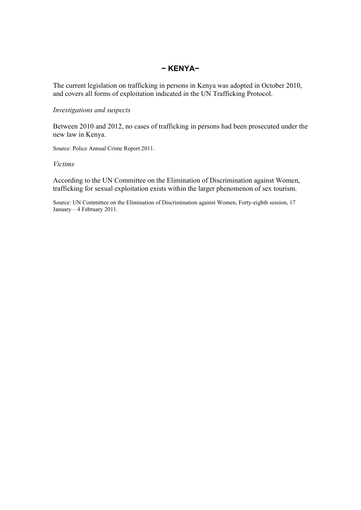# **− KENYA−**

The current legislation on trafficking in persons in Kenya was adopted in October 2010, and covers all forms of exploitation indicated in the UN Trafficking Protocol.

## *Investigations and suspects*

Between 2010 and 2012, no cases of trafficking in persons had been prosecuted under the new law in Kenya.

Source: Police Annual Crime Report 2011.

#### *Victims*

According to the UN Committee on the Elimination of Discrimination against Women, trafficking for sexual exploitation exists within the larger phenomenon of sex tourism.

Source: UN Committee on the Elimination of Discrimination against Women, Forty-eighth session, 17 January – 4 February 2011.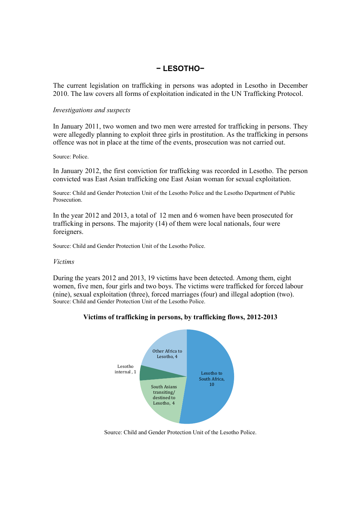# **− LESOTHO−**

The current legislation on trafficking in persons was adopted in Lesotho in December 2010. The law covers all forms of exploitation indicated in the UN Trafficking Protocol.

#### *Investigations and suspects*

In January 2011, two women and two men were arrested for trafficking in persons. They were allegedly planning to exploit three girls in prostitution. As the trafficking in persons offence was not in place at the time of the events, prosecution was not carried out.

#### Source: Police.

In January 2012, the first conviction for trafficking was recorded in Lesotho. The person convicted was East Asian trafficking one East Asian woman for sexual exploitation.

Source: Child and Gender Protection Unit of the Lesotho Police and the Lesotho Department of Public Prosecution.

In the year 2012 and 2013, a total of 12 men and 6 women have been prosecuted for trafficking in persons. The majority (14) of them were local nationals, four were foreigners.

Source: Child and Gender Protection Unit of the Lesotho Police.

#### *Victims*

During the years 2012 and 2013, 19 victims have been detected. Among them, eight women, five men, four girls and two boys. The victims were trafficked for forced labour (nine), sexual exploitation (three), forced marriages (four) and illegal adoption (two). Source: Child and Gender Protection Unit of the Lesotho Police.



# **Victims of trafficking in persons, by trafficking flows, 2012-2013**

Source: Child and Gender Protection Unit of the Lesotho Police.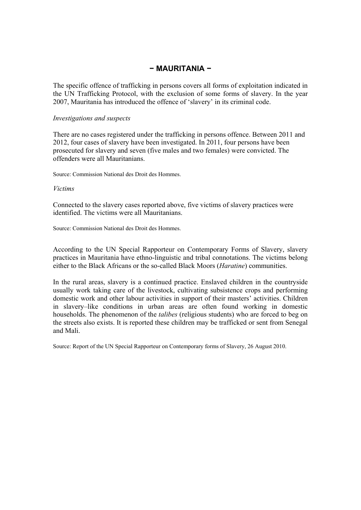# **− MAURITANIA −**

The specific offence of trafficking in persons covers all forms of exploitation indicated in the UN Trafficking Protocol, with the exclusion of some forms of slavery. In the year 2007, Mauritania has introduced the offence of 'slavery' in its criminal code.

#### *Investigations and suspects*

There are no cases registered under the trafficking in persons offence. Between 2011 and 2012, four cases of slavery have been investigated. In 2011, four persons have been prosecuted for slavery and seven (five males and two females) were convicted. The offenders were all Mauritanians.

Source: Commission National des Droit des Hommes.

#### *Victims*

Connected to the slavery cases reported above, five victims of slavery practices were identified. The victims were all Mauritanians.

Source: Commission National des Droit des Hommes.

According to the UN Special Rapporteur on Contemporary Forms of Slavery, slavery practices in Mauritania have ethno-linguistic and tribal connotations. The victims belong either to the Black Africans or the so-called Black Moors (*Haratine*) communities.

In the rural areas, slavery is a continued practice. Enslaved children in the countryside usually work taking care of the livestock, cultivating subsistence crops and performing domestic work and other labour activities in support of their masters' activities. Children in slavery–like conditions in urban areas are often found working in domestic households. The phenomenon of the *talibes* (religious students) who are forced to beg on the streets also exists. It is reported these children may be trafficked or sent from Senegal and Mali.

Source: Report of the UN Special Rapporteur on Contemporary forms of Slavery, 26 August 2010.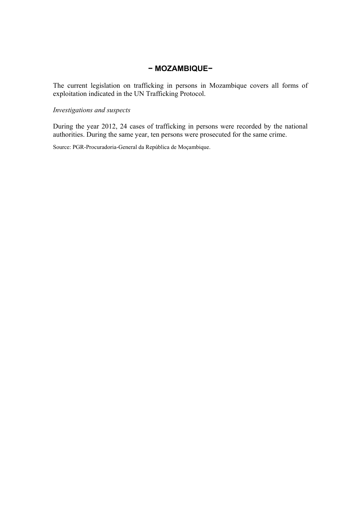## **− MOZAMBIQUE−**

The current legislation on trafficking in persons in Mozambique covers all forms of exploitation indicated in the UN Trafficking Protocol.

## *Investigations and suspects*

During the year 2012, 24 cases of trafficking in persons were recorded by the national authorities. During the same year, ten persons were prosecuted for the same crime.

Source: PGR-Procuradoria-General da República de Moçambique.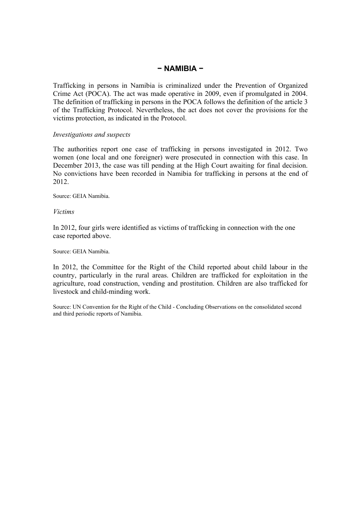## **− NAMIBIA −**

Trafficking in persons in Namibia is criminalized under the Prevention of Organized Crime Act (POCA). The act was made operative in 2009, even if promulgated in 2004. The definition of trafficking in persons in the POCA follows the definition of the article 3 of the Trafficking Protocol. Nevertheless, the act does not cover the provisions for the victims protection, as indicated in the Protocol.

## *Investigations and suspects*

The authorities report one case of trafficking in persons investigated in 2012. Two women (one local and one foreigner) were prosecuted in connection with this case. In December 2013, the case was till pending at the High Court awaiting for final decision. No convictions have been recorded in Namibia for trafficking in persons at the end of 2012.

Source: GEIA Namibia.

*Victims* 

In 2012, four girls were identified as victims of trafficking in connection with the one case reported above.

Source: GEIA Namibia.

In 2012, the Committee for the Right of the Child reported about child labour in the country, particularly in the rural areas. Children are trafficked for exploitation in the agriculture, road construction, vending and prostitution. Children are also trafficked for livestock and child-minding work.

Source: UN Convention for the Right of the Child - Concluding Observations on the consolidated second and third periodic reports of Namibia.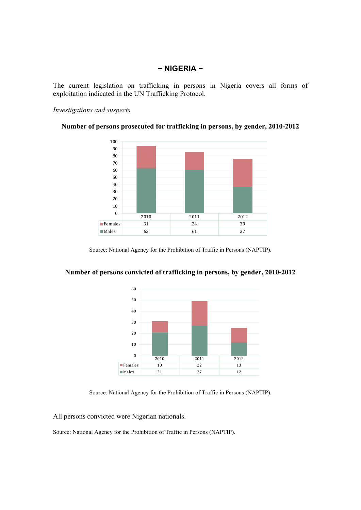## **− NIGERIA −**

The current legislation on trafficking in persons in Nigeria covers all forms of exploitation indicated in the UN Trafficking Protocol.

## *Investigations and suspects*





Source: National Agency for the Prohibition of Traffic in Persons (NAPTIP).



# **Number of persons convicted of trafficking in persons, by gender, 2010-2012**

Source: National Agency for the Prohibition of Traffic in Persons (NAPTIP).

All persons convicted were Nigerian nationals.

Source: National Agency for the Prohibition of Traffic in Persons (NAPTIP).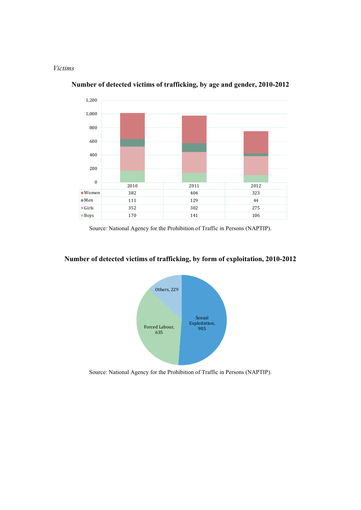#### *Victims*



**Number of detected victims of trafficking, by age and gender, 2010-2012** 

Source: National Agency for the Prohibition of Traffic in Persons (NAPTIP).

# **Number of detected victims of trafficking, by form of exploitation, 2010-2012**



Source: National Agency for the Prohibition of Traffic in Persons (NAPTIP).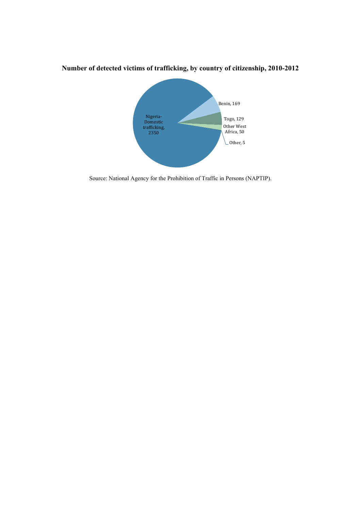

**Number of detected victims of trafficking, by country of citizenship, 2010-2012** 

Source: National Agency for the Prohibition of Traffic in Persons (NAPTIP).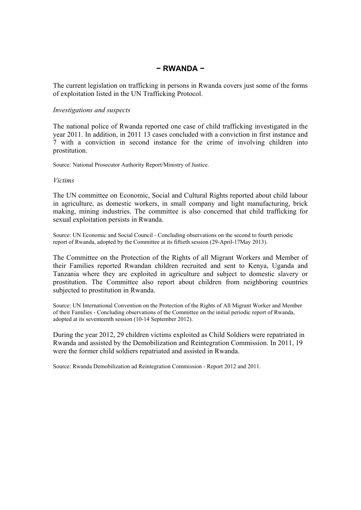# **− RWANDA −**

The current legislation on trafficking in persons in Rwanda covers just some of the forms of exploitation listed in the UN Trafficking Protocol.

#### *Investigations and suspects*

The national police of Rwanda reported one case of child trafficking investigated in the year 2011. In addition, in 2011 13 cases concluded with a conviction in first instance and 7 with a conviction in second instance for the crime of involving children into prostitution.

Source: National Prosecutor Authority Report/Ministry of Justice.

#### *Victims*

The UN committee on Economic, Social and Cultural Rights reported about child labour in agriculture, as domestic workers, in small company and light manufacturing, brick making, mining industries. The committee is also concerned that child trafficking for sexual exploitation persists in Rwanda.

Source: UN Economic and Social Council - Concluding observations on the second to fourth periodic report of Rwanda, adopted by the Committee at its fiftieth session (29-April-17May 2013).

The Committee on the Protection of the Rights of all Migrant Workers and Member of their Families reported Rwandan children recruited and sent to Kenya, Uganda and Tanzania where they are exploited in agriculture and subject to domestic slavery or prostitution. The Committee also report about children from neighboring countries subjected to prostitution in Rwanda.

Source: UN International Convention on the Protection of the Rights of All Migrant Worker and Member of their Families - Concluding observations of the Committee on the initial periodic report of Rwanda, adopted at its seventeenth session (10-14 September 2012).

During the year 2012, 29 children victims exploited as Child Soldiers were repatriated in Rwanda and assisted by the Demobilization and Reintegration Commission. In 2011, 19 were the former child soldiers repatriated and assisted in Rwanda.

Source: Rwanda Demobilization ad Reintegration Commission - Report 2012 and 2011.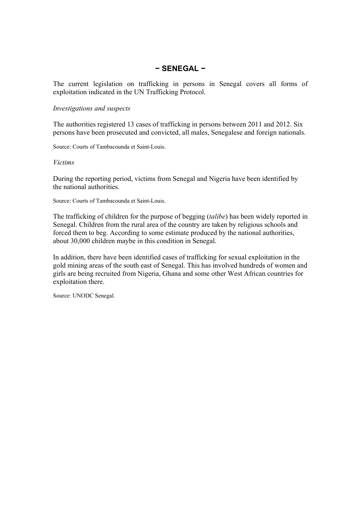## **− SENEGAL −**

The current legislation on trafficking in persons in Senegal covers all forms of exploitation indicated in the UN Trafficking Protocol.

#### *Investigations and suspects*

The authorities registered 13 cases of trafficking in persons between 2011 and 2012. Six persons have been prosecuted and convicted, all males, Senegalese and foreign nationals.

Source: Courts of Tambacounda et Saint-Louis.

## *Victims*

During the reporting period, victims from Senegal and Nigeria have been identified by the national authorities.

Source: Courts of Tambacounda et Saint-Louis.

The trafficking of children for the purpose of begging (*talibe*) has been widely reported in Senegal. Children from the rural area of the country are taken by religious schools and forced them to beg. According to some estimate produced by the national authorities, about 30,000 children maybe in this condition in Senegal.

In addition, there have been identified cases of trafficking for sexual exploitation in the gold mining areas of the south east of Senegal. This has involved hundreds of women and girls are being recruited from Nigeria, Ghana and some other West African countries for exploitation there.

Source: UNODC Senegal.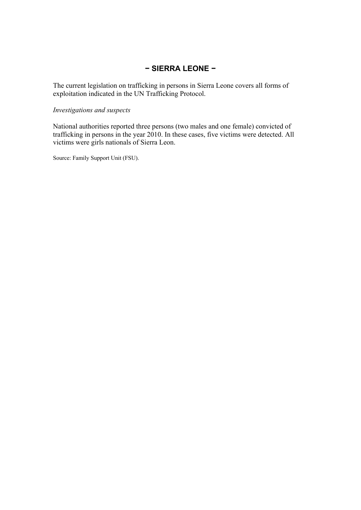# **− SIERRA LEONE −**

The current legislation on trafficking in persons in Sierra Leone covers all forms of exploitation indicated in the UN Trafficking Protocol.

## *Investigations and suspects*

National authorities reported three persons (two males and one female) convicted of trafficking in persons in the year 2010. In these cases, five victims were detected. All victims were girls nationals of Sierra Leon.

Source: Family Support Unit (FSU).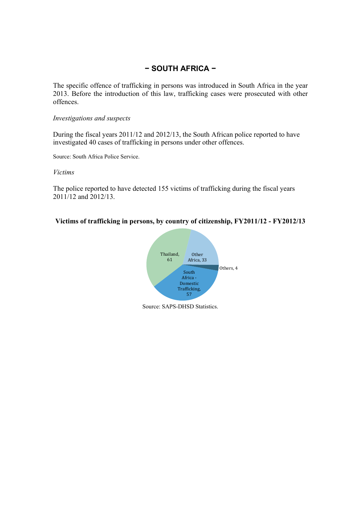# **− SOUTH AFRICA −**

The specific offence of trafficking in persons was introduced in South Africa in the year 2013. Before the introduction of this law, trafficking cases were prosecuted with other offences.

## *Investigations and suspects*

During the fiscal years 2011/12 and 2012/13, the South African police reported to have investigated 40 cases of trafficking in persons under other offences.

Source: South Africa Police Service.

#### *Victims*

The police reported to have detected 155 victims of trafficking during the fiscal years 2011/12 and 2012/13.

## **Victims of trafficking in persons, by country of citizenship, FY2011/12 - FY2012/13**



Source: SAPS-DHSD Statistics.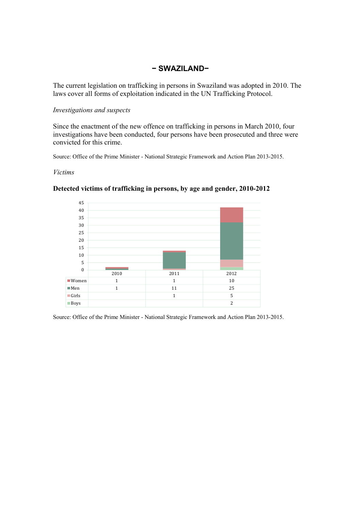# **− SWAZILAND−**

The current legislation on trafficking in persons in Swaziland was adopted in 2010. The laws cover all forms of exploitation indicated in the UN Trafficking Protocol.

## *Investigations and suspects*

Since the enactment of the new offence on trafficking in persons in March 2010, four investigations have been conducted, four persons have been prosecuted and three were convicted for this crime.

Source: Office of the Prime Minister - National Strategic Framework and Action Plan 2013-2015.

#### *Victims*



## **Detected victims of trafficking in persons, by age and gender, 2010-2012**

Source: Office of the Prime Minister - National Strategic Framework and Action Plan 2013-2015.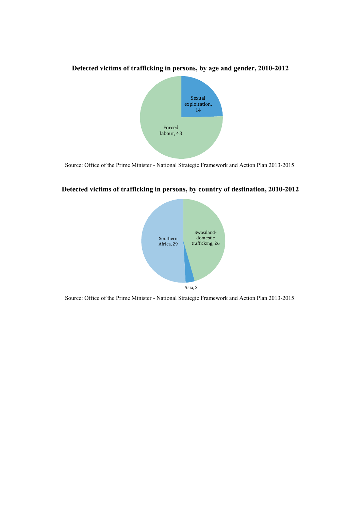

**Detected victims of trafficking in persons, by age and gender, 2010-2012** 

Source: Office of the Prime Minister - National Strategic Framework and Action Plan 2013-2015.

## **Detected victims of trafficking in persons, by country of destination, 2010-2012**



Source: Office of the Prime Minister - National Strategic Framework and Action Plan 2013-2015.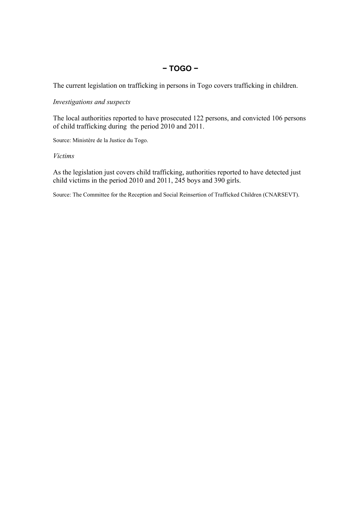# **− TOGO −**

The current legislation on trafficking in persons in Togo covers trafficking in children.

## *Investigations and suspects*

The local authorities reported to have prosecuted 122 persons, and convicted 106 persons of child trafficking during the period 2010 and 2011.

Source: Ministère de la Justice du Togo.

## *Victims*

As the legislation just covers child trafficking, authorities reported to have detected just child victims in the period 2010 and 2011, 245 boys and 390 girls.

Source: The Committee for the Reception and Social Reinsertion of Trafficked Children (CNARSEVT).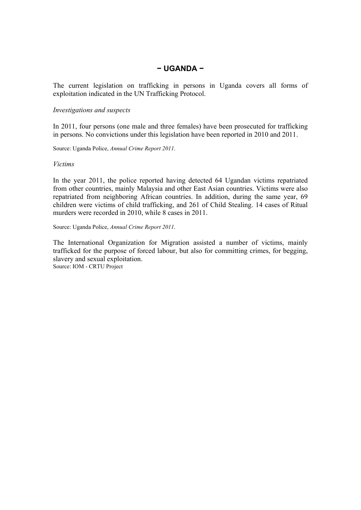## **− UGANDA −**

The current legislation on trafficking in persons in Uganda covers all forms of exploitation indicated in the UN Trafficking Protocol.

#### *Investigations and suspects*

In 2011, four persons (one male and three females) have been prosecuted for trafficking in persons. No convictions under this legislation have been reported in 2010 and 2011.

Source: Uganda Police, *Annual Crime Report 2011*.

#### *Victims*

In the year 2011, the police reported having detected 64 Ugandan victims repatriated from other countries, mainly Malaysia and other East Asian countries. Victims were also repatriated from neighboring African countries. In addition, during the same year, 69 children were victims of child trafficking, and 261 of Child Stealing. 14 cases of Ritual murders were recorded in 2010, while 8 cases in 2011.

Source: Uganda Police, *Annual Crime Report 2011*.

The International Organization for Migration assisted a number of victims, mainly trafficked for the purpose of forced labour, but also for committing crimes, for begging, slavery and sexual exploitation.

Source: IOM - CRTU Project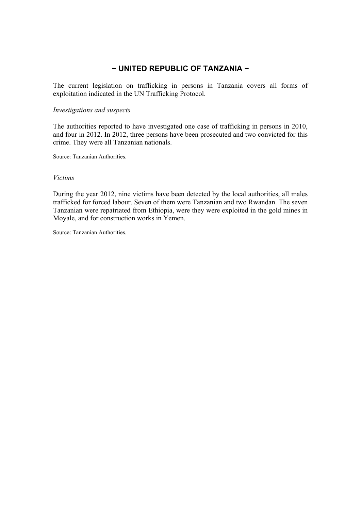# **− UNITED REPUBLIC OF TANZANIA −**

The current legislation on trafficking in persons in Tanzania covers all forms of exploitation indicated in the UN Trafficking Protocol.

#### *Investigations and suspects*

The authorities reported to have investigated one case of trafficking in persons in 2010, and four in 2012. In 2012, three persons have been prosecuted and two convicted for this crime. They were all Tanzanian nationals.

Source: Tanzanian Authorities.

#### *Victims*

During the year 2012, nine victims have been detected by the local authorities, all males trafficked for forced labour. Seven of them were Tanzanian and two Rwandan. The seven Tanzanian were repatriated from Ethiopia, were they were exploited in the gold mines in Moyale, and for construction works in Yemen.

Source: Tanzanian Authorities.